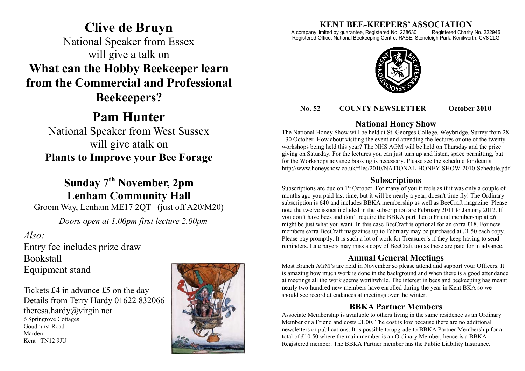## **Clive de Bruyn** National Speaker from Essex will give a talk on **What can the Hobby Beekeeper learn from the Commercial and Professional Beekeepers?**

# **Pam Hunter**

National Speaker from West Sussex will give atalk on **Plants to Improve your Bee Forage**

## **Sunday 7th November, 2pm Lenham Community Hall**

Groom Way, Lenham ME17 2QT (just off A20/M20)

*Doors open at 1.00pm first lecture 2.00pm*

## *Also:*

Entry fee includes prize draw Bookstall Equipment stand

Tickets £4 in advance £5 on the day Details from Terry Hardy 01622 832066 theresa.hardy@virgin.net 6 Springrove Cottages Goudhurst Road Marden Kent TN12 9JU



# **KENT BEE-KEEPERS' ASSOCIATION**<br>imited by guarantee, Registered No. 238630 Registered Charity No. 222946

A company limited by guarantee, Registered No. 238630 Registered Office: National Beekeeping Centre, RASE, Stoneleigh Park, Kenilworth. CV8 2LG



#### **No. 52 COUNTY NEWSLETTER October 2010**

### **National Honey Show**

The National Honey Show will be held at St. Georges College, Weybridge, Surrey from 28 - 30 October. How about visiting the event and attending the lectures or one of the twenty workshops being held this year? The NHS AGM will be held on Thursday and the prize giving on Saturday. For the lectures you can just turn up and listen, space permitting, but for the Workshops advance booking is necessary. Please see the schedule for details. http://www.honeyshow.co.uk/files/2010/NATIONAL-HONEY-SHOW-2010-Schedule.pdf

## **Subscriptions**

Subscriptions are due on  $1<sup>st</sup>$  October. For many of you it feels as if it was only a couple of months ago you paid last time, but it will be nearly a year, doesn't time fly! The Ordinary subscription is £40 and includes BBKA membership as well as BeeCraft magazine. Please note the twelve issues included in the subscription are February 2011 to January 2012. If you don't have bees and don't require the BBKA part then a Friend membership at £6 might be just what you want. In this case BeeCraft is optional for an extra £18. For new members extra BeeCraft magazines up to February may be purchased at £1.50 each copy. Please pay promptly. It is such a lot of work for Treasurer's if they keep having to send reminders. Late payers may miss a copy of BeeCraft too as these are paid for in advance.

## **Annual General Meetings**

Most Branch AGM's are held in November so please attend and support your Officers. It is amazing how much work is done in the background and when there is a good attendance at meetings all the work seems worthwhile. The interest in bees and beekeeping has meant nearly two hundred new members have enrolled during the year in Kent BKA so we should see record attendances at meetings over the winter.

## **BBKA Partner Members**

Associate Membership is available to others living in the same residence as an Ordinary Member or a Friend and costs  $£1.00$ . The cost is low because there are no additional newsletters or publications. It is possible to upgrade to BBKA Partner Membership for a total of £10.50 where the main member is an Ordinary Member, hence is a BBKA Registered member. The BBKA Partner member has the Public Liability Insurance.